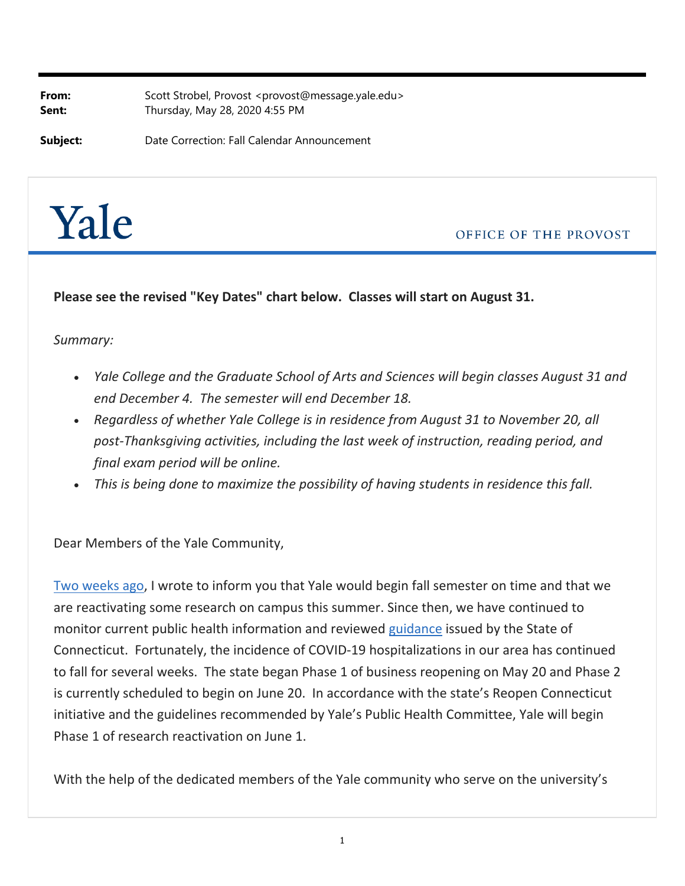**From:** Scott Strobel, Provost <provost@message.yale.edu> **Sent:** Thursday, May 28, 2020 4:55 PM

**Subject:** Date Correction: Fall Calendar Announcement



OFFICE OF THE PROVOST

**Please see the revised "Key Dates" chart below. Classes will start on August 31.**

## *Summary:*

- *Yale College and the Graduate School of Arts and Sciences will begin classes August 31 and end December 4. The semester will end December 18.*
- *Regardless of whether Yale College is in residence from August 31 to November 20, all post‐Thanksgiving activities, including the last week of instruction, reading period, and final exam period will be online.*
- *This is being done to maximize the possibility of having students in residence this fall.*

Dear Members of the Yale Community,

Two weeks ago, I wrote to inform you that Yale would begin fall semester on time and that we are reactivating some research on campus this summer. Since then, we have continued to monitor current public health information and reviewed guidance issued by the State of Connecticut. Fortunately, the incidence of COVID‐19 hospitalizations in our area has continued to fall for several weeks. The state began Phase 1 of business reopening on May 20 and Phase 2 is currently scheduled to begin on June 20. In accordance with the state's Reopen Connecticut initiative and the guidelines recommended by Yale's Public Health Committee, Yale will begin Phase 1 of research reactivation on June 1.

With the help of the dedicated members of the Yale community who serve on the university's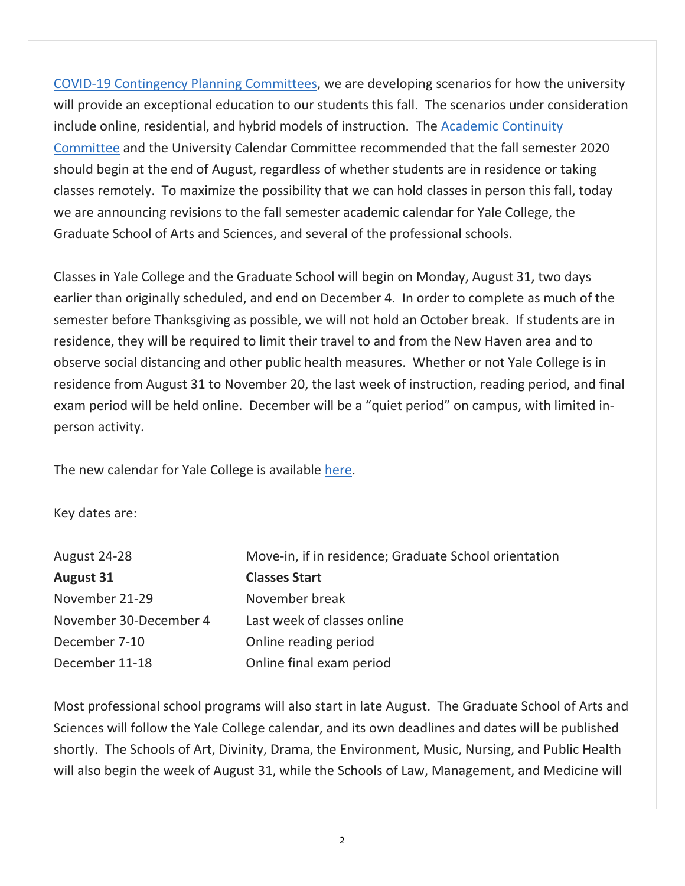COVID‐19 Contingency Planning Committees, we are developing scenarios for how the university will provide an exceptional education to our students this fall. The scenarios under consideration include online, residential, and hybrid models of instruction. The Academic Continuity Committee and the University Calendar Committee recommended that the fall semester 2020 should begin at the end of August, regardless of whether students are in residence or taking classes remotely. To maximize the possibility that we can hold classes in person this fall, today we are announcing revisions to the fall semester academic calendar for Yale College, the Graduate School of Arts and Sciences, and several of the professional schools.

Classes in Yale College and the Graduate School will begin on Monday, August 31, two days earlier than originally scheduled, and end on December 4. In order to complete as much of the semester before Thanksgiving as possible, we will not hold an October break. If students are in residence, they will be required to limit their travel to and from the New Haven area and to observe social distancing and other public health measures. Whether or not Yale College is in residence from August 31 to November 20, the last week of instruction, reading period, and final exam period will be held online. December will be a "quiet period" on campus, with limited in‐ person activity.

The new calendar for Yale College is available here.

Key dates are:

| Move-in, if in residence; Graduate School orientation |
|-------------------------------------------------------|
| <b>Classes Start</b>                                  |
| November break                                        |
| Last week of classes online                           |
| Online reading period                                 |
| Online final exam period                              |
|                                                       |

Most professional school programs will also start in late August. The Graduate School of Arts and Sciences will follow the Yale College calendar, and its own deadlines and dates will be published shortly. The Schools of Art, Divinity, Drama, the Environment, Music, Nursing, and Public Health will also begin the week of August 31, while the Schools of Law, Management, and Medicine will